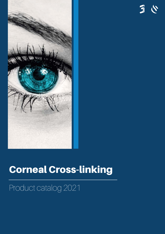

### Corneal Cross-linking

### Product catalog 2021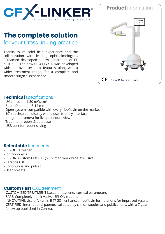

### The complete solution

for your Cross-linking practice

Thanks to its solid field experience and the collaboration with leading ophthalmologists, SERVImed developed a new generation of CF X-LINKER. The new CF X-LINKER was developed with improved technical features, along with a wider treatment range, for a complete and smooth surgical experience.

# Product information  $\epsilon$ Class IIA Medical Device

#### **Technical specifications**

- UV emission: 1-30 mW/cm<sup>2</sup>
- Beam Diameter: 3-12 mm
- Open system, compatible with every riboflavin on the market
- 10'' touchscreen display with a user-friendly interface
- Integrated camera for live procedure view
- Treatment report & database
- USB port for report saving

#### Selectable treatments

- EPI-OFF: Dresden
- Iontophoresis
- EPI-ON: Custom Fast CXL (SERVImed worldwide exclusive)
- Keratitis CXL
- Continuous and pulsed
- User presets

#### **Custom Fast CXL treatment**

- CUSTOMIZED TREATMENT based on patients' corneal parameters
- SAFE: Completely non invasive, EPI-ON treatment;
- INNOVATIVE: Use of Vitamin E TPGS enhanced riboflavin formulations for improved results
- CERTIFIED: International patents, validated by clinical studies and publications, with a 7-year follow up published in Cornea.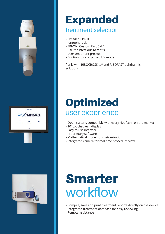

### **Expanded**

### treatment selection

- Dresden EPI-OFF
- Iontophoresis
- EPI-ON: Custom Fast CXL\*
- CXL for infectious Keratitis
- User treatment presets
- Continuous and pulsed UV mode

\*only with RIBOCROSS te® and RIBOFAST ophthalmic solutions.



### **Optimized** user experience

- Open system, compatible with every riboflavin on the market
- 10'' touchscreen display
- Easy to use interface
- Proprietary software
- Mathematical model for customization
- Integrated camera for real time procedure view



### **Smarter** workflow

- Compile, save and print treatment reports directly on the device

- Integrated treatment database for easy reviewing
- Remote assistance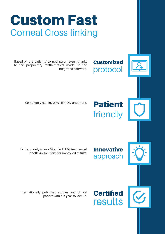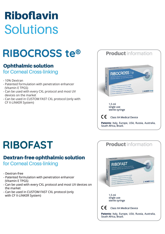## **Riboflavin Solutions**

### RIBOCROSS te®

### Ophthalmic solution

for Corneal Cross-linking

- 10% Dextran
- Patented formulation with penetration enhancer (Vitamin E TPGS)
- Can be used with every CXL protocol and most UV devices on the market
- Can be used in CUSTOM FAST CXL protocol (only with CF X-LINKER System)



### **RIBOFAST**

### Dextran-free ophthalmic solution

for Corneal Cross-linking

- Dextran-free
- Patented formulation with penetration enhancer (Vitamin E TPGS)
- Can be used with every CXL protocol and most UV devices on the market
- Can be used in CUSTOM FAST CXL protocol (only with CF X-LINKER System)